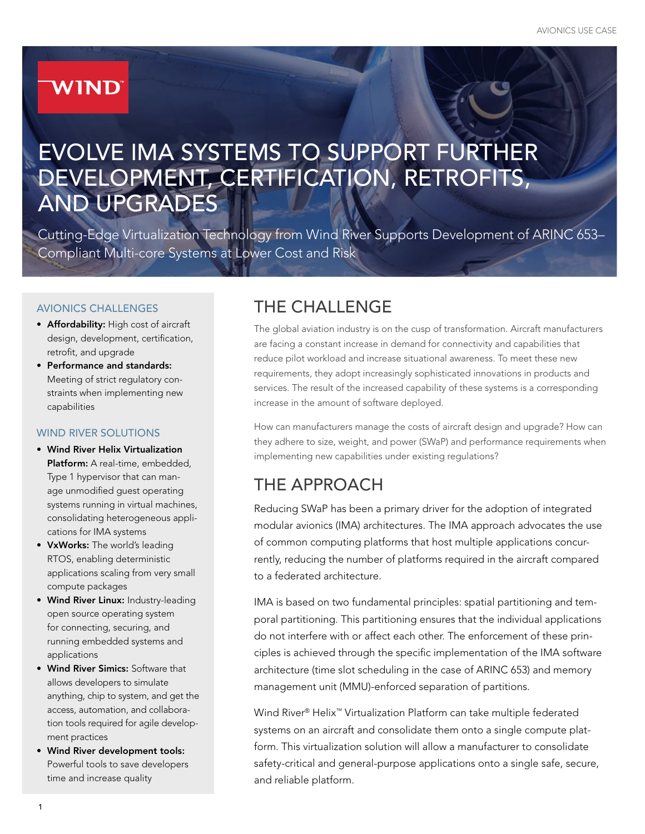# **WIND**

# EVOLVE IMA SYSTEMS TO SUPPORT FURTHER DEVELOPMENT, CERTIFICATION, RETROFITS, AND UPGRADES

Cutting-Edge Virtualization Technology from Wind River Supports Development of ARINC 653– Compliant Multi-core Systems at Lower Cost and Risk

#### AVIONICS CHALLENGES

- Affordability: High cost of aircraft design, development, certification, retrofit, and upgrade
- Performance and standards: Meeting of strict regulatory constraints when implementing new capabilities

#### WIND RIVER SOLUTIONS

- Wind River Helix Virtualization Platform: A real-time, embedded, Type 1 hypervisor that can manage unmodified guest operating systems running in virtual machines, consolidating heterogeneous applications for IMA systems
- VxWorks: The world's leading RTOS, enabling deterministic applications scaling from very small compute packages
- Wind River Linux: Industry-leading open source operating system for connecting, securing, and running embedded systems and applications
- Wind River Simics: Software that allows developers to simulate anything, chip to system, and get the access, automation, and collaboration tools required for agile development practices
- Wind River development tools: Powerful tools to save developers time and increase quality

# THE CHALLENGE

The global aviation industry is on the cusp of transformation. Aircraft manufacturers are facing a constant increase in demand for connectivity and capabilities that reduce pilot workload and increase situational awareness. To meet these new requirements, they adopt increasingly sophisticated innovations in products and services. The result of the increased capability of these systems is a corresponding increase in the amount of software deployed.

How can manufacturers manage the costs of aircraft design and upgrade? How can they adhere to size, weight, and power (SWaP) and performance requirements when implementing new capabilities under existing regulations?

## THE APPROACH

Reducing SWaP has been a primary driver for the adoption of integrated modular avionics (IMA) architectures. The IMA approach advocates the use of common computing platforms that host multiple applications concurrently, reducing the number of platforms required in the aircraft compared to a federated architecture.

IMA is based on two fundamental principles: spatial partitioning and temporal partitioning. This partitioning ensures that the individual applications do not interfere with or affect each other. The enforcement of these principles is achieved through the specific implementation of the IMA software architecture (time slot scheduling in the case of ARINC 653) and memory management unit (MMU)-enforced separation of partitions.

Wind River® Helix™ Virtualization Platform can take multiple federated systems on an aircraft and consolidate them onto a single compute platform. This virtualization solution will allow a manufacturer to consolidate safety-critical and general-purpose applications onto a single safe, secure, and reliable platform.